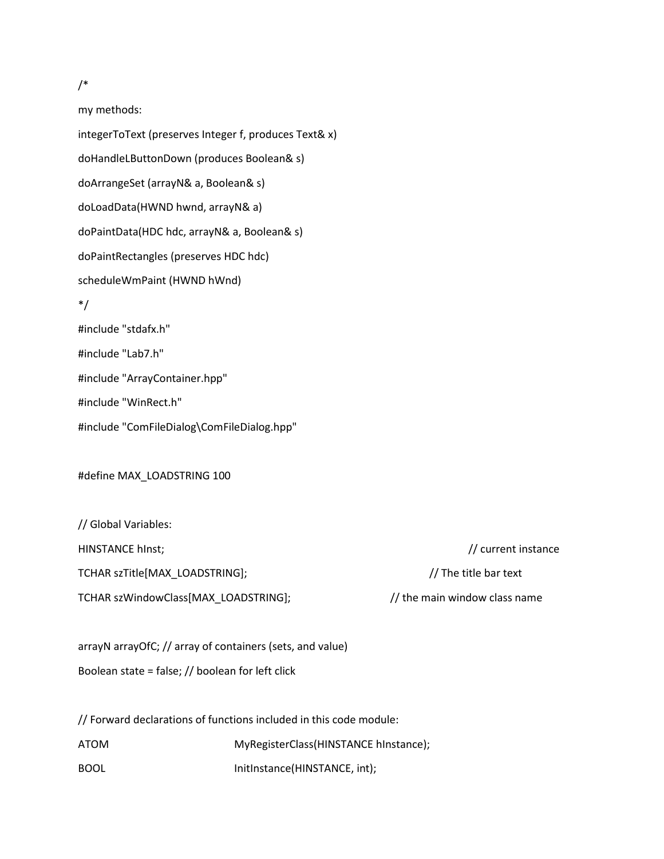## /\*

my methods:

integerToText (preserves Integer f, produces Text& x) doHandleLButtonDown (produces Boolean& s) doArrangeSet (arrayN& a, Boolean& s) doLoadData(HWND hwnd, arrayN& a) doPaintData(HDC hdc, arrayN& a, Boolean& s) doPaintRectangles (preserves HDC hdc) scheduleWmPaint (HWND hWnd) \*/ #include "stdafx.h" #include "Lab7.h" #include "ArrayContainer.hpp" #include "WinRect.h" #include "ComFileDialog\ComFileDialog.hpp"

#define MAX\_LOADSTRING 100

// Global Variables:

TCHAR szTitle[MAX\_LOADSTRING]; // The title bar text

TCHAR szWindowClass[MAX\_LOADSTRING];  $\frac{1}{2}$  // the main window class name

arrayN arrayOfC; // array of containers (sets, and value) Boolean state = false; // boolean for left click

// Forward declarations of functions included in this code module: ATOM MyRegisterClass(HINSTANCE hInstance); BOOL **InitInstance(HINSTANCE, int)**;

HINSTANCE hInst; // current instance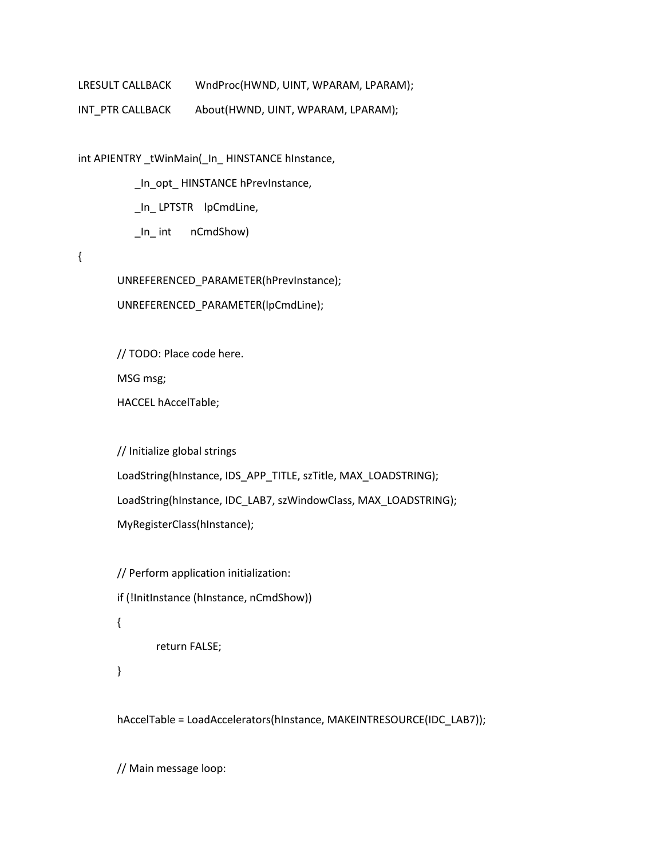LRESULT CALLBACK WndProc(HWND, UINT, WPARAM, LPARAM);

INT\_PTR CALLBACK About(HWND, UINT, WPARAM, LPARAM);

int APIENTRY \_tWinMain(\_In\_ HINSTANCE hInstance,

\_In\_opt\_ HINSTANCE hPrevInstance,

\_In\_ LPTSTR lpCmdLine,

\_In\_ int nCmdShow)

# {

UNREFERENCED\_PARAMETER(hPrevInstance);

UNREFERENCED\_PARAMETER(lpCmdLine);

// TODO: Place code here.

MSG msg;

HACCEL hAccelTable;

// Initialize global strings

LoadString(hInstance, IDS\_APP\_TITLE, szTitle, MAX\_LOADSTRING);

LoadString(hInstance, IDC\_LAB7, szWindowClass, MAX\_LOADSTRING);

MyRegisterClass(hInstance);

// Perform application initialization:

if (!InitInstance (hInstance, nCmdShow))

### {

return FALSE;

```
}
```
hAccelTable = LoadAccelerators(hInstance, MAKEINTRESOURCE(IDC\_LAB7));

// Main message loop: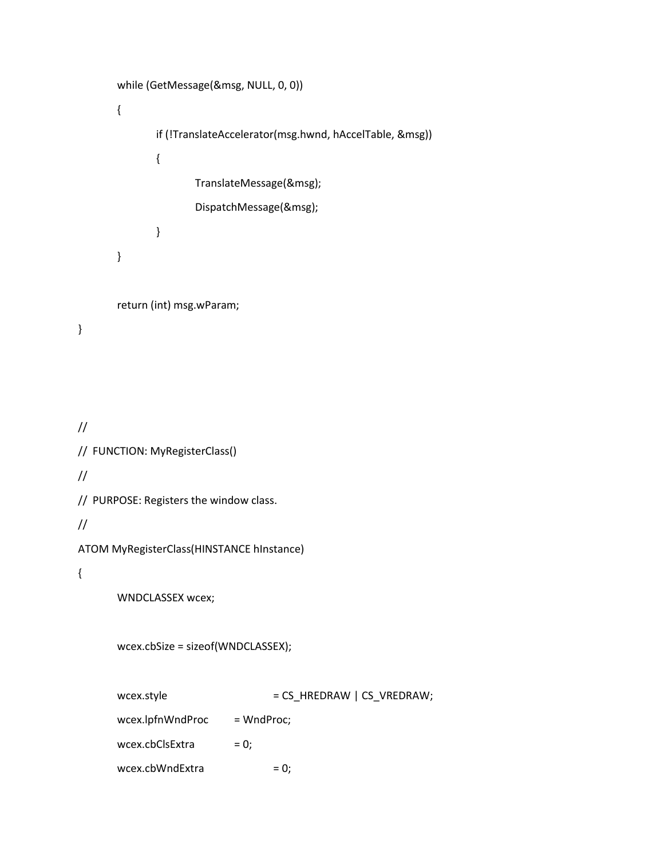```
while (GetMessage(&msg, NULL, 0, 0))
      {
             if (!TranslateAccelerator(msg.hwnd, hAccelTable, &msg))
             {
                    TranslateMessage(&msg);
                    DispatchMessage(&msg);
             }
      }
      return (int) msg.wParam;
}
//
// FUNCTION: MyRegisterClass()
//
// PURPOSE: Registers the window class.
//
ATOM MyRegisterClass(HINSTANCE hInstance)
{
      WNDCLASSEX wcex;
      wcex.cbSize = sizeof(WNDCLASSEX);
      wcex.style = CS_HREDRAW | CS_VREDRAW;wcex.lpfnWndProc = WndProc;
      wcex.cbClsExtra = 0;wcex.cbWndExtra = 0;
```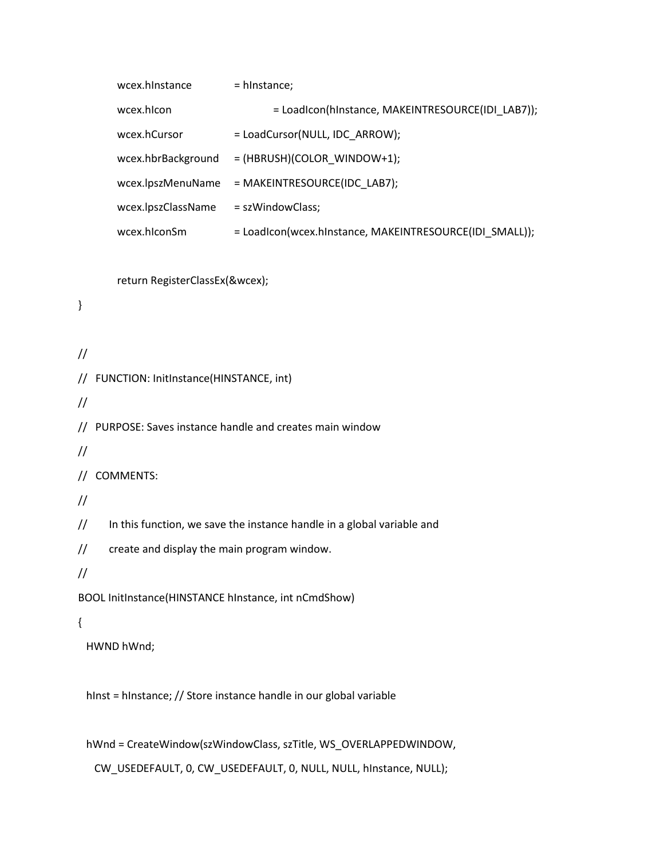```
wcex.hInstance = hInstance;
       wcex.hicon = Loadicon(hinstance, MAKEINTRESOURCE(IDI_LAB7));
       wcex.hCursor = LoadCursor(NULL, IDC_ARROW);
       wcex.hbrBackground = (HBRUSH)(COLOR_WINDOW+1);
       wcex.lpszMenuName = MAKEINTRESOURCE(IDC_LAB7);
       wcex.lpszClassName = szWindowClass;
       wcex.hiconSm = LoadIcon(wcex.hinstance, MAKEINTRESOURCE(IDI_SMALL));
       return RegisterClassEx(&wcex);
//
// FUNCTION: InitInstance(HINSTANCE, int)
//
// PURPOSE: Saves instance handle and creates main window
//
// COMMENTS:
//
// In this function, we save the instance handle in a global variable and
// create and display the main program window.
//
BOOL InitInstance(HINSTANCE hInstance, int nCmdShow)
  HWND hWnd;
 hInst = hInstance; // Store instance handle in our global variable
  hWnd = CreateWindow(szWindowClass, szTitle, WS_OVERLAPPEDWINDOW,
```
}

{

CW\_USEDEFAULT, 0, CW\_USEDEFAULT, 0, NULL, NULL, hInstance, NULL);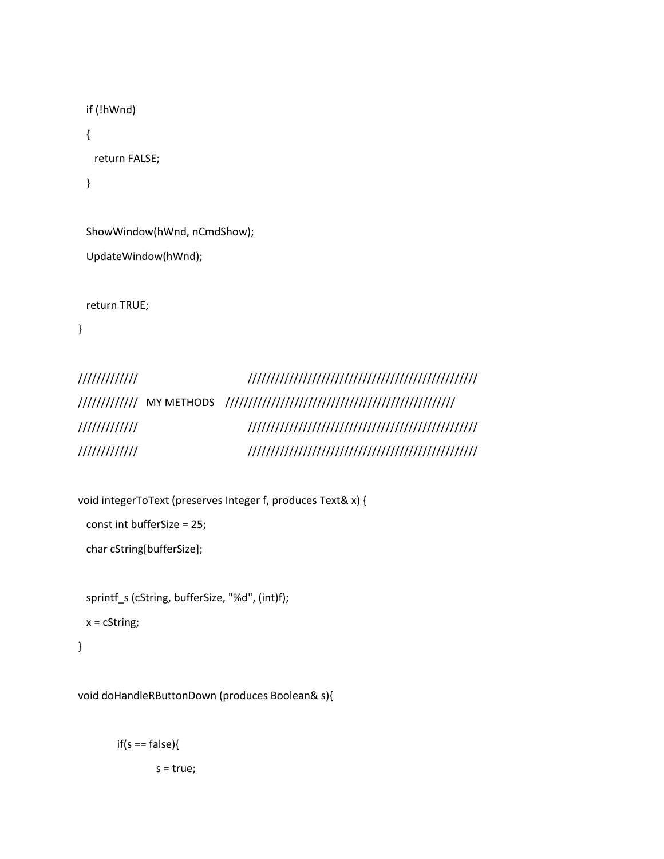```
 if (!hWnd)
 {
  return FALSE;
 }
```
 ShowWindow(hWnd, nCmdShow); UpdateWindow(hWnd);

return TRUE;

}

| /////////////                                                                                                                                                                                                                                                                                                                                                                                |  |  |  |  |  |  |  |  |  |  |  |  |  |  |
|----------------------------------------------------------------------------------------------------------------------------------------------------------------------------------------------------------------------------------------------------------------------------------------------------------------------------------------------------------------------------------------------|--|--|--|--|--|--|--|--|--|--|--|--|--|--|
| $\left  \frac{1}{1} \frac{1}{1} \frac{1}{1} \frac{1}{1} \frac{1}{1} \frac{1}{1} \frac{1}{1} \frac{1}{1} \frac{1}{1} \frac{1}{1} \frac{1}{1} \frac{1}{1} \frac{1}{1} \frac{1}{1} \frac{1}{1} \frac{1}{1} \frac{1}{1} \frac{1}{1} \frac{1}{1} \frac{1}{1} \frac{1}{1} \frac{1}{1} \frac{1}{1} \frac{1}{1} \frac{1}{1} \frac{1}{1} \frac{1}{1} \frac{1}{1} \frac{1}{1} \frac{1}{1} \frac{1}{1}$ |  |  |  |  |  |  |  |  |  |  |  |  |  |  |
| /////////////                                                                                                                                                                                                                                                                                                                                                                                |  |  |  |  |  |  |  |  |  |  |  |  |  |  |
| /////////////                                                                                                                                                                                                                                                                                                                                                                                |  |  |  |  |  |  |  |  |  |  |  |  |  |  |

void integerToText (preserves Integer f, produces Text& x) {

```
 const int bufferSize = 25;
```
char cString[bufferSize];

 sprintf\_s (cString, bufferSize, "%d", (int)f); x = cString;

```
}
```
void doHandleRButtonDown (produces Boolean& s){

 $if(s == false)$ { s = true;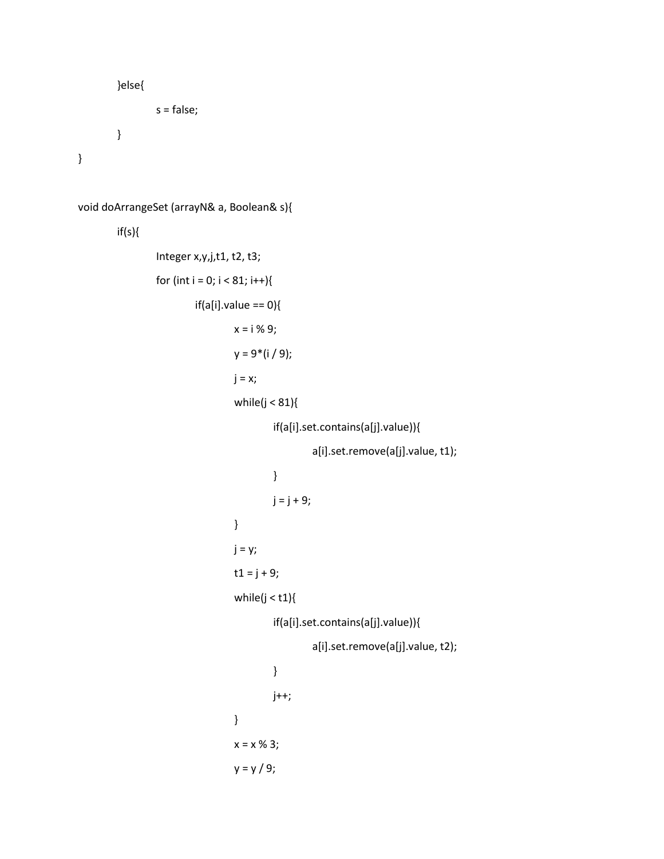```
}else{
                 s = false;
        }
}
```

```
void doArrangeSet (arrayN& a, Boolean& s){
        if(s){
                 Integer x,y,j,t1, t2, t3;
                 for (int i = 0; i < 81; i++){
                         if(a[i].value == 0)x = i % 9;
                                  y = 9*(i / 9);j = x;while(j < 81){
                                          if(a[i].set.contains(a[j].value)){
                                                   a[i].set.remove(a[j].value, t1);
                                          }
                                          j = j + 9;}
                                 j = y;t1 = j + 9;while(j < t1){
                                          if(a[i].set.contains(a[j].value)){
                                                   a[i].set.remove(a[j].value, t2);
                                          }
                                          j++;
                                 }
                                  x = x % 3;y = y / 9;
```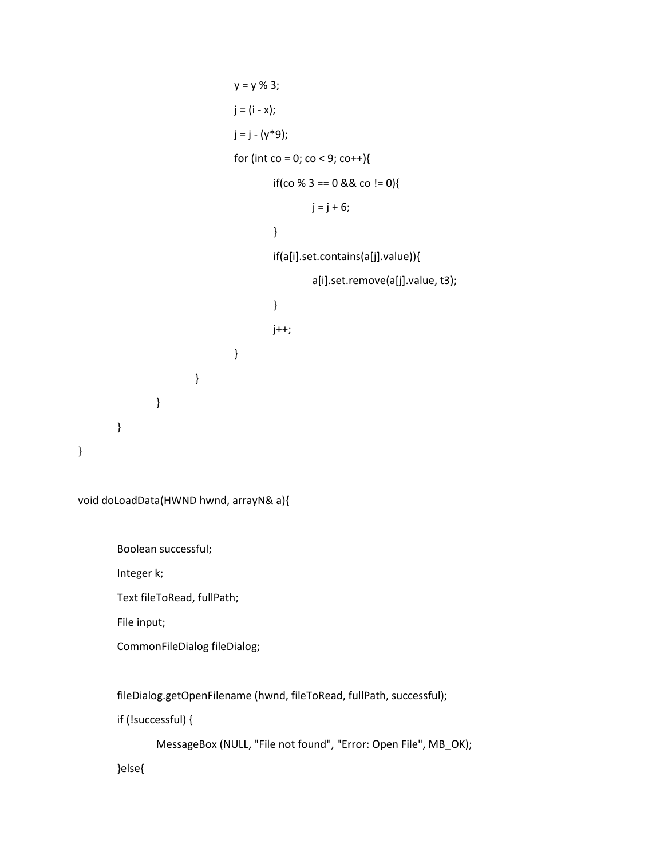```
y = y \% 3;j = (i - x);j = j - (y * 9);for (int co = 0; co < 9; co++){
                                            if(co % 3 = = 0 && co ! = 0){
                                                     j = j + 6;}
                                            if(a[i].set.contains(a[j].value)){
                                                     a[i].set.remove(a[j].value, t3);
                                            }
                                            j++;
                                   }
                          }
                 }
        }
}
```
void doLoadData(HWND hwnd, arrayN& a){

Boolean successful;

Integer k;

Text fileToRead, fullPath;

File input;

CommonFileDialog fileDialog;

fileDialog.getOpenFilename (hwnd, fileToRead, fullPath, successful);

if (!successful) {

MessageBox (NULL, "File not found", "Error: Open File", MB\_OK);

}else{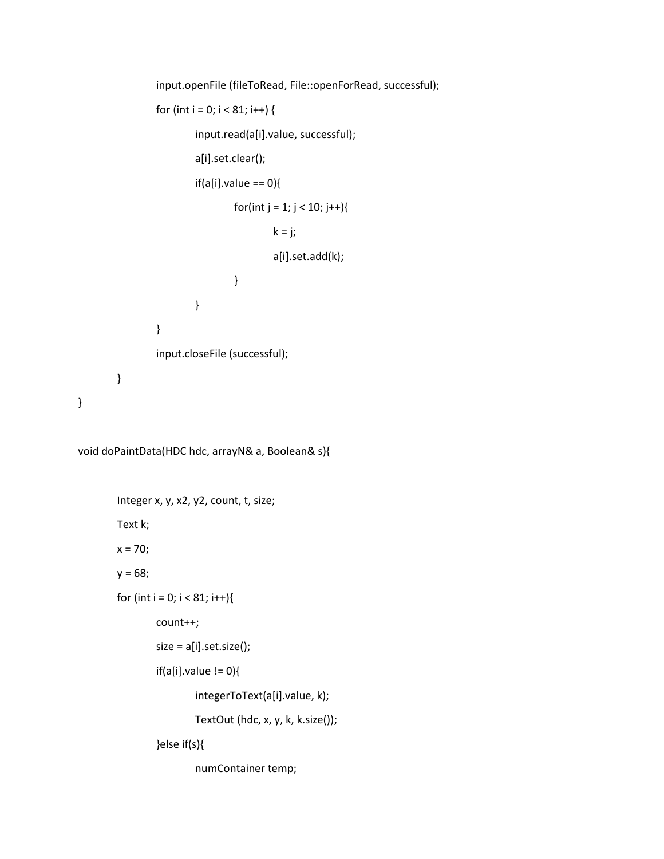```
input.openFile (fileToRead, File::openForRead, successful);
                 for (int i = 0; i < 81; i++) {
                          input.read(a[i].value, successful);
                          a[i].set.clear();
                          if(a[i].value == 0)for(int j = 1; j < 10; j++){
                                           k = j;a[i].set.add(k);
                                  }
                          }
                 }
                 input.closeFile (successful);
        }
}
```
void doPaintData(HDC hdc, arrayN& a, Boolean& s){

```
Integer x, y, x2, y2, count, t, size;
Text k;
x = 70;y = 68;for (int i = 0; i < 81; i++){
        count++;
        size = a[i].set.size();
        if(a[i].value != 0)integerToText(a[i].value, k);
                 TextOut (hdc, x, y, k, k.size());
        }else if(s){
                 numContainer temp;
```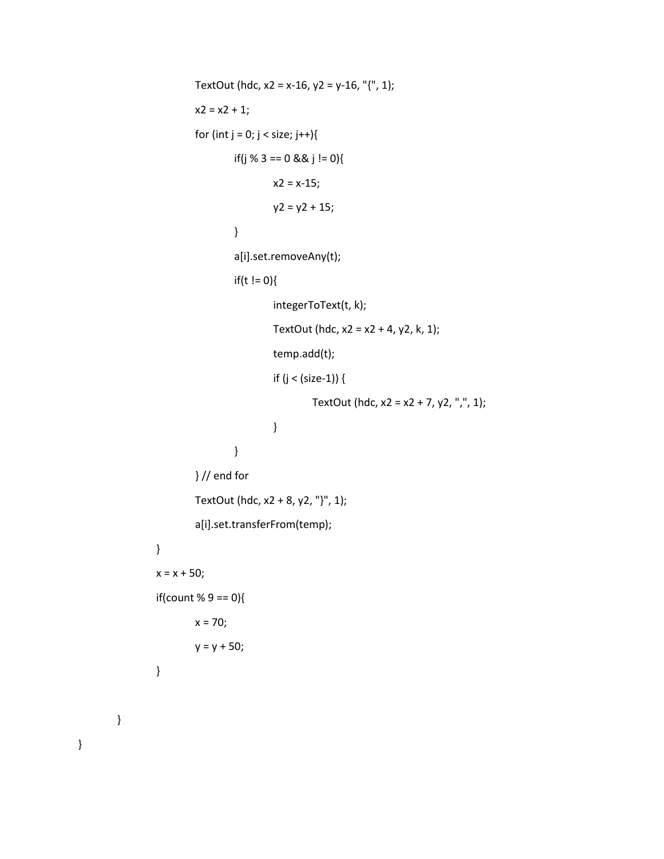```
TextOut (hdc, x2 = x-16, y2 = y-16, "{", 1);
        x2 = x2 + 1;for (int j = 0; j < size; j++){
                if(j % 3 == 0 && j != 0){
                         x2 = x-15;y2 = y2 + 15;}
                 a[i].set.removeAny(t);
                 if(t != 0){
                         integerToText(t, k);
                         TextOut (hdc, x2 = x2 + 4, y2, k, 1);
                         temp.add(t);
                         if (j < (size-1)) {
                                  TextOut (hdc, x2 = x2 + 7, y2, ",", 1);
                         }
                }
        } // end for
        TextOut (hdc, x2 + 8, y2, "}", 1);
        a[i].set.transferFrom(temp);
}
x = x + 50;if(count % 9 == 0){
        x = 70;y = y + 50;}
```
}

}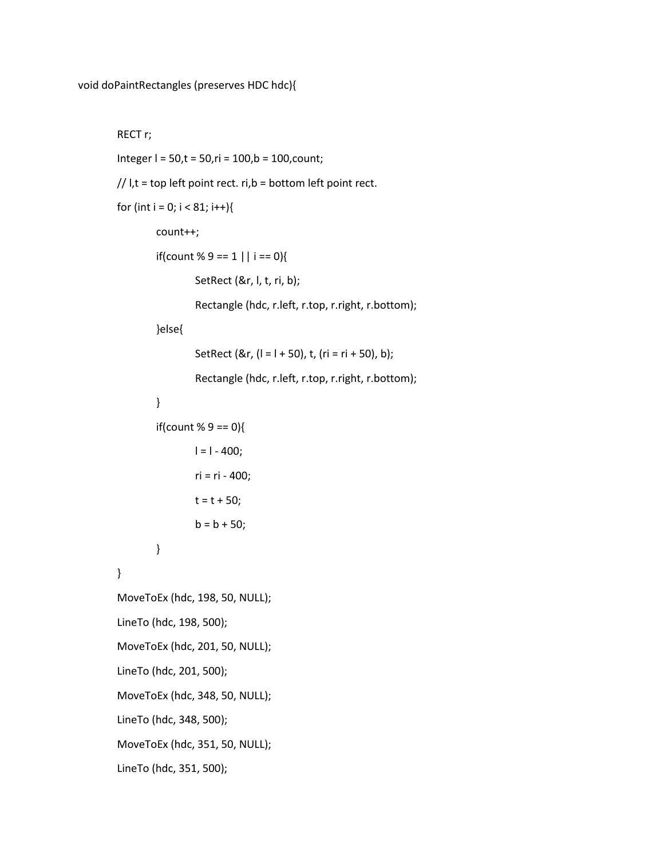#### RECT r;

```
Integer l = 50,t = 50,ri = 100,b = 100,count;
```

```
// I, t = top left point rect. ri, b = bottom left point rect.
```

```
for (int i = 0; i < 81; i++){
```
count++;

if(count % 9 = = 1 || i = = 0){

SetRect (&r, l, t, ri, b);

Rectangle (hdc, r.left, r.top, r.right, r.bottom);

### }else{

```
SetRect (&r, (1 = 1 + 50), t, (ri = ri + 50), b);
```
Rectangle (hdc, r.left, r.top, r.right, r.bottom);

## }

```
if(count % 9 == 0){
```

```
l = l - 400;ri = ri - 400;
t = t + 50;b = b + 50;
```
}

}

MoveToEx (hdc, 198, 50, NULL); LineTo (hdc, 198, 500); MoveToEx (hdc, 201, 50, NULL); LineTo (hdc, 201, 500); MoveToEx (hdc, 348, 50, NULL); LineTo (hdc, 348, 500); MoveToEx (hdc, 351, 50, NULL); LineTo (hdc, 351, 500);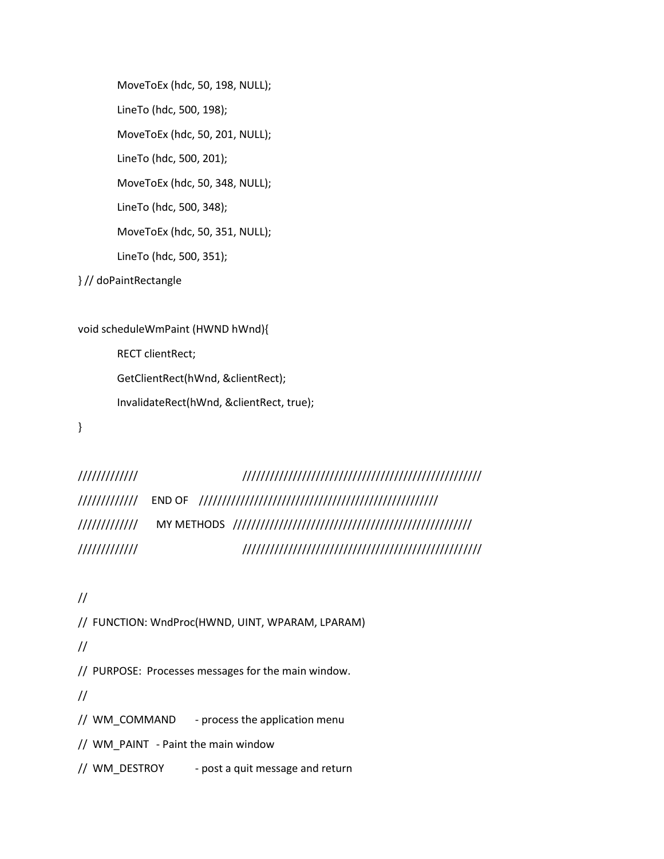MoveToEx (hdc, 50, 198, NULL); LineTo (hdc, 500, 198); MoveToEx (hdc, 50, 201, NULL); LineTo (hdc, 500, 201); MoveToEx (hdc, 50, 348, NULL); LineTo (hdc, 500, 348); MoveToEx (hdc, 50, 351, NULL); LineTo (hdc, 500, 351);

} // doPaintRectangle

```
void scheduleWmPaint (HWND hWnd){
       RECT clientRect;
       GetClientRect(hWnd, &clientRect);
       InvalidateRect(hWnd, &clientRect, true);
```
}

```
///////////// ////////////////////////////////////////////////////
///////////// END OF ////////////////////////////////////////////////////
///////////// MY METHODS ////////////////////////////////////////////////////
///////////// ////////////////////////////////////////////////////
```
//

// FUNCTION: WndProc(HWND, UINT, WPARAM, LPARAM)

//

// PURPOSE: Processes messages for the main window.

//

// WM\_COMMAND - process the application menu

// WM\_PAINT - Paint the main window

// WM\_DESTROY - post a quit message and return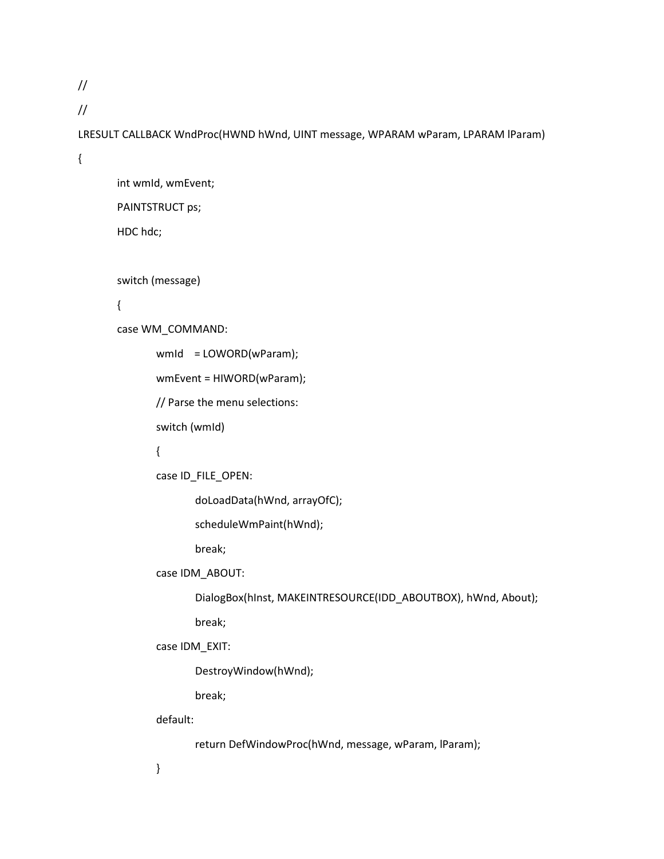//

//

LRESULT CALLBACK WndProc(HWND hWnd, UINT message, WPARAM wParam, LPARAM lParam)

{

int wmId, wmEvent; PAINTSTRUCT ps; HDC hdc;

switch (message)

{

case WM\_COMMAND:

wmId = LOWORD(wParam);

wmEvent = HIWORD(wParam);

// Parse the menu selections:

switch (wmId)

## {

case ID\_FILE\_OPEN:

doLoadData(hWnd, arrayOfC);

scheduleWmPaint(hWnd);

break;

case IDM\_ABOUT:

DialogBox(hInst, MAKEINTRESOURCE(IDD\_ABOUTBOX), hWnd, About);

break;

case IDM\_EXIT:

DestroyWindow(hWnd);

break;

default:

return DefWindowProc(hWnd, message, wParam, lParam);

}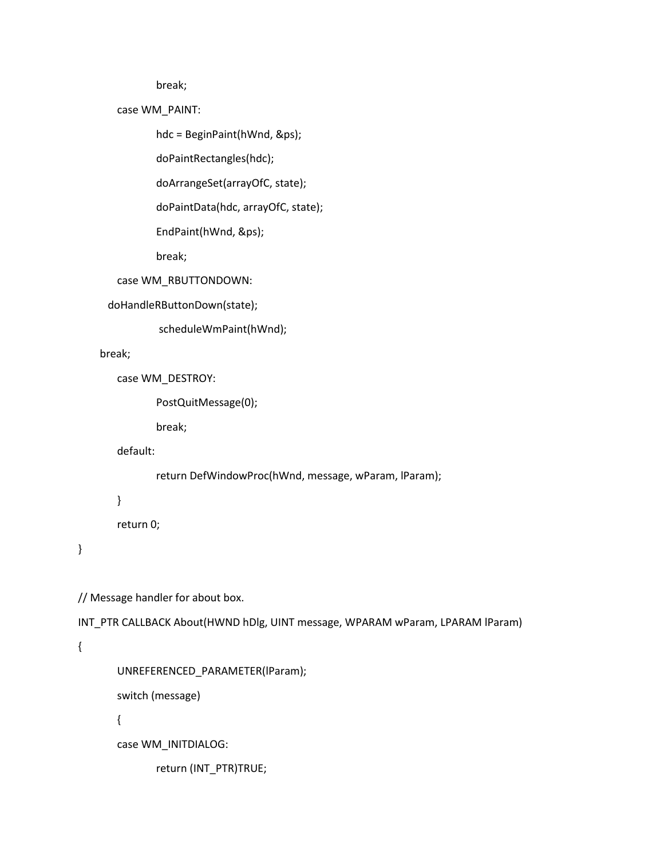break;

case WM\_PAINT:

hdc = BeginPaint(hWnd, &ps);

doPaintRectangles(hdc);

doArrangeSet(arrayOfC, state);

doPaintData(hdc, arrayOfC, state);

EndPaint(hWnd, &ps);

break;

case WM\_RBUTTONDOWN:

doHandleRButtonDown(state);

scheduleWmPaint(hWnd);

break;

case WM\_DESTROY:

PostQuitMessage(0);

break;

default:

return DefWindowProc(hWnd, message, wParam, lParam);

}

return 0;

}

// Message handler for about box.

INT\_PTR CALLBACK About(HWND hDlg, UINT message, WPARAM wParam, LPARAM lParam)

{

UNREFERENCED\_PARAMETER(lParam);

switch (message)

{

case WM\_INITDIALOG:

return (INT\_PTR)TRUE;